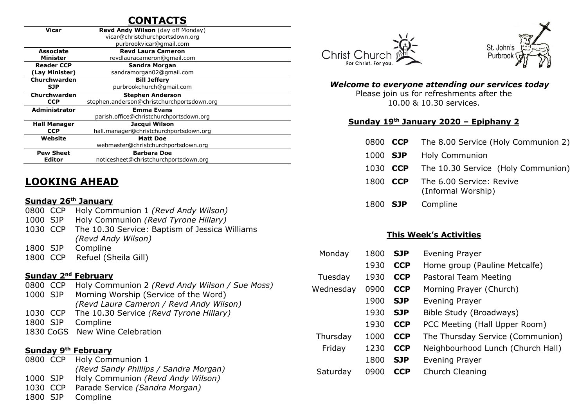# **CONTACTS**

| <b>Vicar</b>         | Revd Andy Wilson (day off Monday)          |  |  |  |  |
|----------------------|--------------------------------------------|--|--|--|--|
|                      | vicar@christchurchportsdown.org            |  |  |  |  |
|                      | purbrookvicar@gmail.com                    |  |  |  |  |
| <b>Associate</b>     | <b>Revd Laura Cameron</b>                  |  |  |  |  |
| <b>Minister</b>      | revdlauracameron@gmail.com                 |  |  |  |  |
| <b>Reader CCP</b>    | Sandra Morgan                              |  |  |  |  |
| (Lay Minister)       | sandramorgan02@gmail.com                   |  |  |  |  |
| Churchwarden         | <b>Bill Jeffery</b>                        |  |  |  |  |
| <b>SJP</b>           | purbrookchurch@gmail.com                   |  |  |  |  |
| Churchwarden         | <b>Stephen Anderson</b>                    |  |  |  |  |
| <b>CCP</b>           | stephen.anderson@christchurchportsdown.org |  |  |  |  |
| <b>Administrator</b> | <b>Emma Evans</b>                          |  |  |  |  |
|                      | parish.office@christchurchportsdown.org    |  |  |  |  |
| <b>Hall Manager</b>  | Jacqui Wilson                              |  |  |  |  |
| <b>CCP</b>           | hall.manager@christchurchportsdown.org     |  |  |  |  |
| Website              | <b>Matt Doe</b>                            |  |  |  |  |
|                      | webmaster@christchurchportsdown.org        |  |  |  |  |
| <b>Pew Sheet</b>     | <b>Barbara Doe</b>                         |  |  |  |  |
| Editor               | noticesheet@christchurchportsdown.org      |  |  |  |  |

## **LOOKING AHEAD**

#### **Sunday 26th January**

0800 CCP Holy Communion 1 *(Revd Andy Wilson)* 1000 SJP Holy Communion *(Revd Tyrone Hillary)* 1030 CCP The 10.30 Service: Baptism of Jessica Williams *(Revd Andy Wilson)* 1800 SJP Compline 1800 CCP Refuel (Sheila Gill)

#### **Sunday 2nd February**

| 0800 CCP | Holy Communion 2 (Revd Andy Wilson / Sue Moss)   |
|----------|--------------------------------------------------|
|          | 1000 SJP Morning Worship (Service of the Word)   |
|          | (Revd Laura Cameron / Revd Andy Wilson)          |
|          | 1030 CCP The 10.30 Service (Revd Tyrone Hillary) |
|          | 1800 SJP Compline                                |
|          | 1830 CoGS New Wine Celebration                   |
|          |                                                  |

#### **Sunday 9th February**

|          | 0800 CCP Holy Communion 1             |
|----------|---------------------------------------|
|          | (Revd Sandy Phillips / Sandra Morgan) |
| 1000 SJP | Holy Communion (Revd Andy Wilson)     |
| 1030 CCP | Parade Service (Sandra Morgan)        |
| 1800 SJP | Compline                              |





#### *Welcome to everyone attending our services today*

Please join us for refreshments after the 10.00 & 10.30 services.

#### **Sunday 19 th January 2020 – Epiphany 2**

- 0800 **CCP** The 8.00 Service (Holy Communion 2)
- 1000 **SJP** Holy Communion
- 1030 **CCP** The 10.30 Service (Holy Communion)
- 1800 **CCP** The 6.00 Service: Revive (Informal Worship)
- 1800 **SJP** Compline

#### **This Week's Activities**

| Monday    | 1800 | <b>SJP</b> | <b>Evening Prayer</b>             |
|-----------|------|------------|-----------------------------------|
|           | 1930 | <b>CCP</b> | Home group (Pauline Metcalfe)     |
| Tuesday   | 1930 | <b>CCP</b> | Pastoral Team Meeting             |
| Wednesday | 0900 | <b>CCP</b> | Morning Prayer (Church)           |
|           | 1900 | <b>SJP</b> | Evening Prayer                    |
|           | 1930 | <b>SJP</b> | Bible Study (Broadways)           |
|           | 1930 | <b>CCP</b> | PCC Meeting (Hall Upper Room)     |
| Thursday  | 1000 | <b>CCP</b> | The Thursday Service (Communion)  |
| Friday    | 1230 | <b>CCP</b> | Neighbourhood Lunch (Church Hall) |
|           | 1800 | <b>SJP</b> | <b>Evening Prayer</b>             |
| Saturday  | 0900 | <b>CCP</b> | Church Cleaning                   |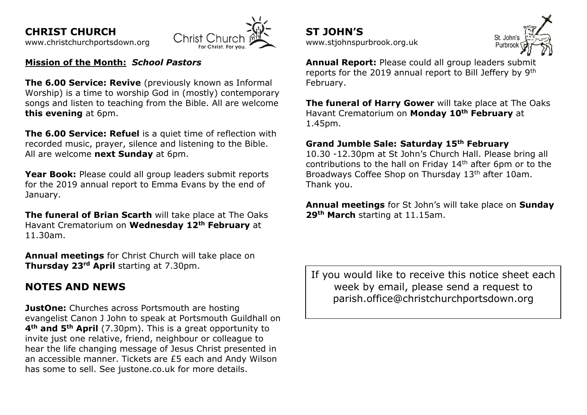**CHRIST CHURCH** 





#### **Mission of the Month:** *School Pastors*

**The 6.00 Service: Revive** (previously known as Informal Worship) is a time to worship God in (mostly) contemporary songs and listen to teaching from the Bible. All are welcome **this evening** at 6pm.

**The 6.00 Service: Refuel** is a quiet time of reflection with recorded music, prayer, silence and listening to the Bible. All are welcome **next Sundav** at 6pm.

**Year Book:** Please could all group leaders submit reports for the 2019 annual report to Emma Evans by the end of January.

**The funeral of Brian Scarth** will take place at The Oaks Havant Crematorium on **Wednesday 12th February** at 11.30am.

**Annual meetings** for Christ Church will take place on **Thursday 23rd April** starting at 7.30pm.

## **NOTES AND NEWS**

**JustOne:** Churches across Portsmouth are hosting evangelist Canon J John to speak at Portsmouth Guildhall on **4th and 5th April** (7.30pm). This is a great opportunity to invite just one relative, friend, neighbour or colleague to hear the life changing message of Jesus Christ presented in an accessible manner. Tickets are £5 each and Andy Wilson has some to sell. See justone.co.uk for more details.

**ST JOHN'S** [www.stjohnspurbrook.org.uk](http://www.stjohnspurbrook.org.uk/)



**Annual Report:** Please could all group leaders submit reports for the 2019 annual report to Bill Jeffery by 9th February.

**The funeral of Harry Gower** will take place at The Oaks Havant Crematorium on **Monday 10th February** at 1.45pm.

#### **Grand Jumble Sale: Saturday 15th February**

10.30 -12.30pm at St John's Church Hall. Please bring all contributions to the hall on Friday 14<sup>th</sup> after 6pm or to the Broadways Coffee Shop on Thursday 13<sup>th</sup> after 10am. Thank you.

**Annual meetings** for St John's will take place on **Sunday 29th March** starting at 11.15am.

If you would like to receive this notice sheet each week by email, please send a request to parish.office@christchurchportsdown.org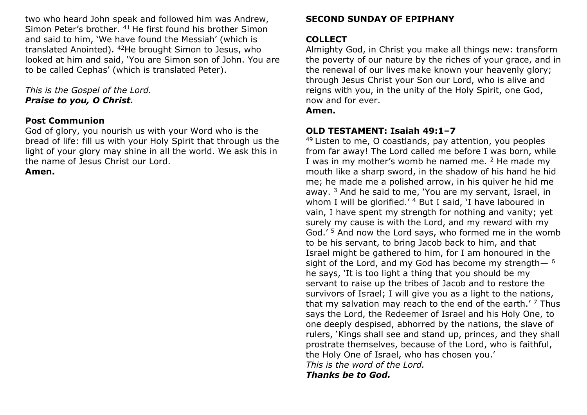two who heard John speak and followed him was Andrew, Simon Peter's brother. <sup>41</sup> He first found his brother Simon and said to him, 'We have found the Messiah' (which is translated Anointed). <sup>42</sup>He brought Simon to Jesus, who looked at him and said, 'You are Simon son of John. You are to be called Cephas' (which is translated Peter).

*This is the Gospel of the Lord. Praise to you, O Christ.*

#### **Post Communion**

God of glory, you nourish us with your Word who is the bread of life: fill us with your Holy Spirit that through us the light of your glory may shine in all the world. We ask this in the name of Jesus Christ our Lord.

**Amen.**

## **SECOND SUNDAY OF EPIPHANY**

## **COLLECT**

Almighty God, in Christ you make all things new: transform the poverty of our nature by the riches of your grace, and in the renewal of our lives make known your heavenly glory; through Jesus Christ your Son our Lord, who is alive and reigns with you, in the unity of the Holy Spirit, one God, now and for ever.

#### **Amen.**

## **OLD TESTAMENT: Isaiah 49:1–7**

 $49$  Listen to me, O coastlands, pay attention, you peoples from far away! The Lord called me before I was born, while I was in my mother's womb he named me. <sup>2</sup> He made my mouth like a sharp sword, in the shadow of his hand he hid me; he made me a polished arrow, in his quiver he hid me away. <sup>3</sup> And he said to me, 'You are my servant, Israel, in whom I will be glorified.<sup>'4</sup> But I said, 'I have laboured in vain, I have spent my strength for nothing and vanity; yet surely my cause is with the Lord, and my reward with my God.' <sup>5</sup> And now the Lord says, who formed me in the womb to be his servant, to bring Jacob back to him, and that Israel might be gathered to him, for I am honoured in the sight of the Lord, and my God has become my strength $-6$ he says, 'It is too light a thing that you should be my servant to raise up the tribes of Jacob and to restore the survivors of Israel; I will give you as a light to the nations, that my salvation may reach to the end of the earth. $'$  7 Thus says the Lord, the Redeemer of Israel and his Holy One, to one deeply despised, abhorred by the nations, the slave of rulers, 'Kings shall see and stand up, princes, and they shall prostrate themselves, because of the Lord, who is faithful, the Holy One of Israel, who has chosen you.' *This is the word of the Lord.*

*Thanks be to God.*